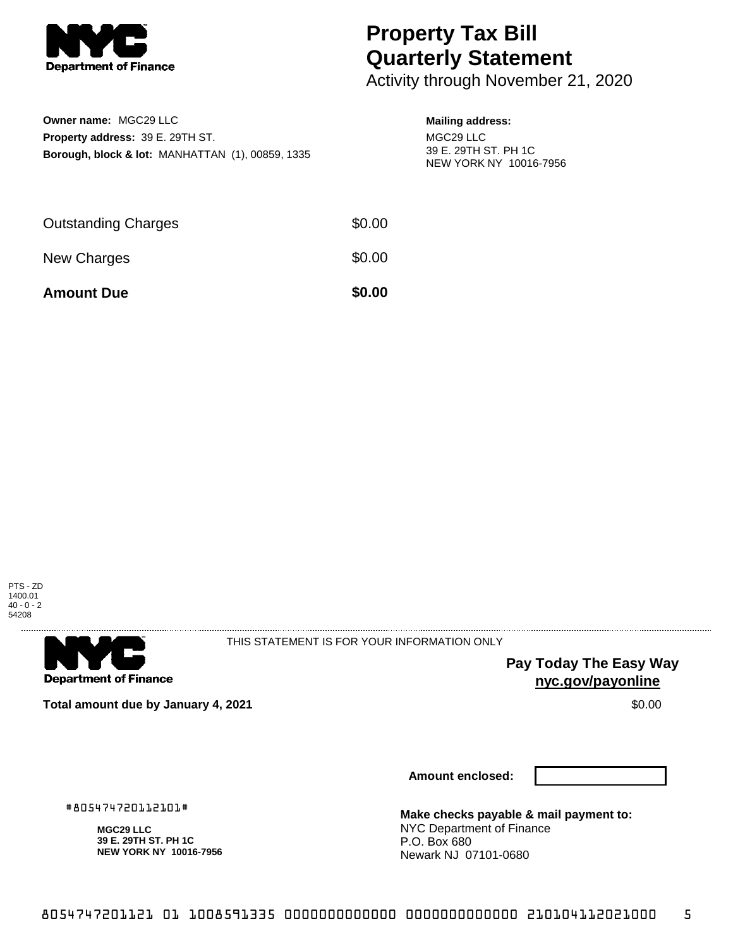

## **Property Tax Bill Quarterly Statement**

Activity through November 21, 2020

| <b>Owner name: MGC29 LLC</b>                                |
|-------------------------------------------------------------|
| <b>Property address: 39 E. 29TH ST.</b>                     |
| <b>Borough, block &amp; lot: MANHATTAN (1), 00859, 1335</b> |

## **Mailing address:**

MGC29 LLC 39 E. 29TH ST. PH 1C NEW YORK NY 10016-7956

| <b>Amount Due</b>          | \$0.00 |
|----------------------------|--------|
| New Charges                | \$0.00 |
| <b>Outstanding Charges</b> | \$0.00 |





THIS STATEMENT IS FOR YOUR INFORMATION ONLY

**Pay Today The Easy Way nyc.gov/payonline**

**Total amount due by January 4, 2021 \$0.00** \$0.00

**Amount enclosed:**

#805474720112101#

**MGC29 LLC 39 E. 29TH ST. PH 1C NEW YORK NY 10016-7956** **Make checks payable & mail payment to:** NYC Department of Finance P.O. Box 680 Newark NJ 07101-0680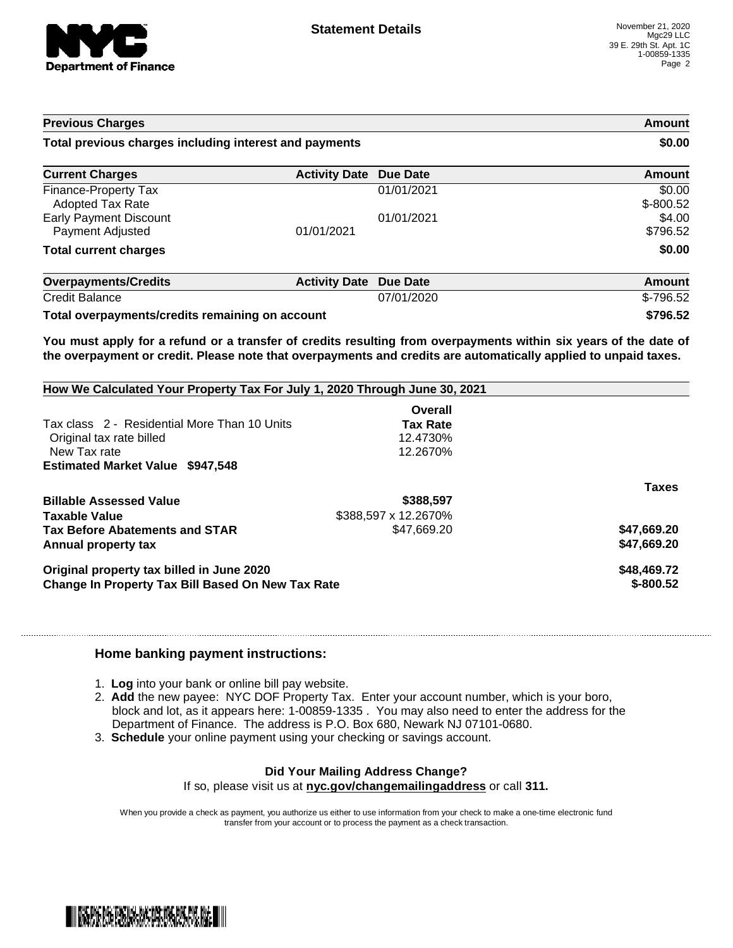

| <b>Previous Charges</b>                                |                      | <b>Amount</b><br>\$0.00 |                       |
|--------------------------------------------------------|----------------------|-------------------------|-----------------------|
| Total previous charges including interest and payments |                      |                         |                       |
| <b>Current Charges</b>                                 | <b>Activity Date</b> | <b>Due Date</b>         | Amount                |
| Finance-Property Tax<br><b>Adopted Tax Rate</b>        |                      | 01/01/2021              | \$0.00<br>$$ -800.52$ |
| <b>Early Payment Discount</b><br>Payment Adjusted      | 01/01/2021           | 01/01/2021              | \$4.00<br>\$796.52    |
| <b>Total current charges</b>                           |                      |                         | \$0.00                |
| <b>Overpayments/Credits</b>                            | <b>Activity Date</b> | Due Date                | Amount                |
| <b>Credit Balance</b>                                  |                      | 07/01/2020              | $$-796.52$            |

**Total overpayments/credits remaining on account \$796.52**

You must apply for a refund or a transfer of credits resulting from overpayments within six years of the date of **the overpayment or credit. Please note that overpayments and credits are automatically applied to unpaid taxes.**

| How We Calculated Your Property Tax For July 1, 2020 Through June 30, 2021 |                      |              |
|----------------------------------------------------------------------------|----------------------|--------------|
|                                                                            | Overall              |              |
| Tax class 2 - Residential More Than 10 Units                               | <b>Tax Rate</b>      |              |
| Original tax rate billed                                                   | 12.4730%             |              |
| New Tax rate                                                               | 12.2670%             |              |
| <b>Estimated Market Value \$947,548</b>                                    |                      |              |
|                                                                            |                      | <b>Taxes</b> |
| <b>Billable Assessed Value</b>                                             | \$388,597            |              |
| Taxable Value                                                              | \$388.597 x 12.2670% |              |
| <b>Tax Before Abatements and STAR</b>                                      | \$47.669.20          | \$47,669.20  |
| Annual property tax                                                        |                      | \$47.669.20  |
| Original property tax billed in June 2020                                  | \$48,469.72          |              |
| Change In Property Tax Bill Based On New Tax Rate                          | $$-800.52$           |              |

## **Home banking payment instructions:**

- 1. **Log** into your bank or online bill pay website.
- 2. **Add** the new payee: NYC DOF Property Tax. Enter your account number, which is your boro, block and lot, as it appears here: 1-00859-1335 . You may also need to enter the address for the Department of Finance. The address is P.O. Box 680, Newark NJ 07101-0680.
- 3. **Schedule** your online payment using your checking or savings account.

## **Did Your Mailing Address Change?**

If so, please visit us at **nyc.gov/changemailingaddress** or call **311.**

When you provide a check as payment, you authorize us either to use information from your check to make a one-time electronic fund transfer from your account or to process the payment as a check transaction.